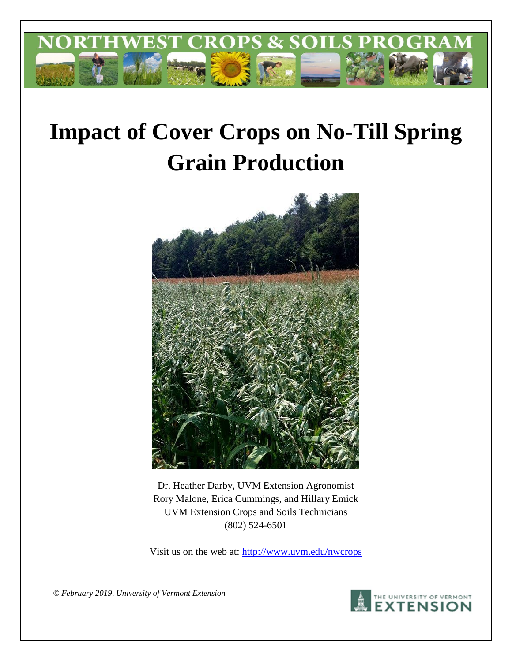

# **Impact of Cover Crops on No-Till Spring Grain Production**



Dr. Heather Darby, UVM Extension Agronomist Rory Malone, Erica Cummings, and Hillary Emick UVM Extension Crops and Soils Technicians (802) 524-6501

Visit us on the web at: http://www.uvm.edu/nwcrops

*© February 2019, University of Vermont Extension* 

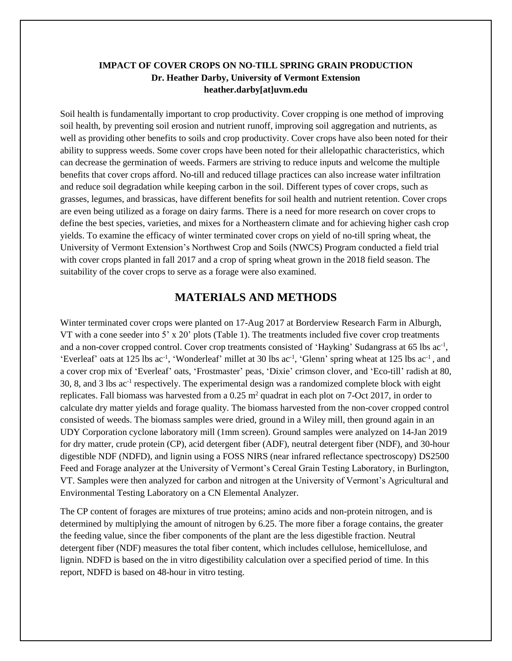## **IMPACT OF COVER CROPS ON NO-TILL SPRING GRAIN PRODUCTION Dr. Heather Darby, University of Vermont Extension heather.darby[at]uvm.edu**

Soil health is fundamentally important to crop productivity. Cover cropping is one method of improving soil health, by preventing soil erosion and nutrient runoff, improving soil aggregation and nutrients, as well as providing other benefits to soils and crop productivity. Cover crops have also been noted for their ability to suppress weeds. Some cover crops have been noted for their allelopathic characteristics, which can decrease the germination of weeds. Farmers are striving to reduce inputs and welcome the multiple benefits that cover crops afford. No-till and reduced tillage practices can also increase water infiltration and reduce soil degradation while keeping carbon in the soil. Different types of cover crops, such as grasses, legumes, and brassicas, have different benefits for soil health and nutrient retention. Cover crops are even being utilized as a forage on dairy farms. There is a need for more research on cover crops to define the best species, varieties, and mixes for a Northeastern climate and for achieving higher cash crop yields. To examine the efficacy of winter terminated cover crops on yield of no-till spring wheat, the University of Vermont Extension's Northwest Crop and Soils (NWCS) Program conducted a field trial with cover crops planted in fall 2017 and a crop of spring wheat grown in the 2018 field season. The suitability of the cover crops to serve as a forage were also examined.

## **MATERIALS AND METHODS**

Winter terminated cover crops were planted on 17-Aug 2017 at Borderview Research Farm in Alburgh, VT with a cone seeder into 5' x 20' plots (Table 1). The treatments included five cover crop treatments and a non-cover cropped control. Cover crop treatments consisted of 'Hayking' Sudangrass at 65 lbs ac<sup>-1</sup>, 'Everleaf' oats at 125 lbs ac<sup>-1</sup>, 'Wonderleaf' millet at 30 lbs ac<sup>-1</sup>, 'Glenn' spring wheat at 125 lbs ac<sup>-1</sup>, and a cover crop mix of 'Everleaf' oats, 'Frostmaster' peas, 'Dixie' crimson clover, and 'Eco-till' radish at 80, 30, 8, and 3 lbs ac<sup>-1</sup> respectively. The experimental design was a randomized complete block with eight replicates. Fall biomass was harvested from a  $0.25$  m<sup>2</sup> quadrat in each plot on 7-Oct 2017, in order to calculate dry matter yields and forage quality. The biomass harvested from the non-cover cropped control consisted of weeds. The biomass samples were dried, ground in a Wiley mill, then ground again in an UDY Corporation cyclone laboratory mill (1mm screen). Ground samples were analyzed on 14-Jan 2019 for dry matter, crude protein (CP), acid detergent fiber (ADF), neutral detergent fiber (NDF), and 30-hour digestible NDF (NDFD), and lignin using a FOSS NIRS (near infrared reflectance spectroscopy) DS2500 Feed and Forage analyzer at the University of Vermont's Cereal Grain Testing Laboratory, in Burlington, VT. Samples were then analyzed for carbon and nitrogen at the University of Vermont's Agricultural and Environmental Testing Laboratory on a CN Elemental Analyzer.

The CP content of forages are mixtures of true proteins; amino acids and non-protein nitrogen, and is determined by multiplying the amount of nitrogen by 6.25. The more fiber a forage contains, the greater the feeding value, since the fiber components of the plant are the less digestible fraction. Neutral detergent fiber (NDF) measures the total fiber content, which includes cellulose, hemicellulose, and lignin. NDFD is based on the in vitro digestibility calculation over a specified period of time. In this report, NDFD is based on 48-hour in vitro testing.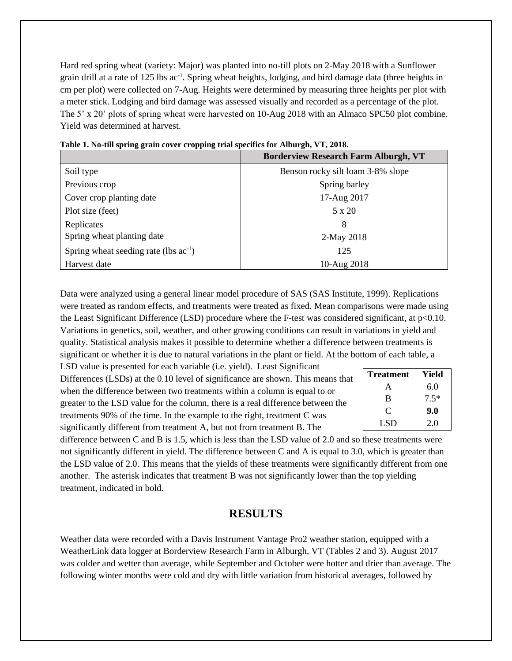Hard red spring wheat (variety: Major) was planted into no-till plots on 2-May 2018 with a Sunflower grain drill at a rate of 125 lbs ac<sup>-1</sup>. Spring wheat heights, lodging, and bird damage data (three heights in cm per plot) were collected on 7-Aug. Heights were determined by measuring three heights per plot with a meter stick. Lodging and bird damage was assessed visually and recorded as a percentage of the plot. The 5' x 20' plots of spring wheat were harvested on 10-Aug 2018 with an Almaco SPC50 plot combine. Yield was determined at harvest.

|                                            | <b>Borderview Research Farm Alburgh, VT</b> |
|--------------------------------------------|---------------------------------------------|
| Soil type                                  | Benson rocky silt loam 3-8% slope           |
| Previous crop                              | Spring barley                               |
| Cover crop planting date                   | 17-Aug 2017                                 |
| Plot size (feet)                           | 5 x 20                                      |
| Replicates                                 | 8                                           |
| Spring wheat planting date                 | 2-May 2018                                  |
| Spring wheat seeding rate (lbs $ac^{-1}$ ) | 125                                         |
| Harvest date                               | 10-Aug 2018                                 |

**Table 1. No-till spring grain cover cropping trial specifics for Alburgh, VT, 2018.**

Data were analyzed using a general linear model procedure of SAS (SAS Institute, 1999). Replications were treated as random effects, and treatments were treated as fixed. Mean comparisons were made using the Least Significant Difference (LSD) procedure where the F-test was considered significant, at p<0.10. Variations in genetics, soil, weather, and other growing conditions can result in variations in yield and quality. Statistical analysis makes it possible to determine whether a difference between treatments is significant or whether it is due to natural variations in the plant or field. At the bottom of each table, a

LSD value is presented for each variable (i.e. yield). Least Significant Differences (LSDs) at the 0.10 level of significance are shown. This means that when the difference between two treatments within a column is equal to or greater to the LSD value for the column, there is a real difference between the treatments 90% of the time. In the example to the right, treatment C was significantly different from treatment A, but not from treatment B. The

| <b>Treatment</b> | Yield  |
|------------------|--------|
| A                | 6.0    |
| B                | $7.5*$ |
| $\subset$        | 9.0    |
| LSD              | 2.0    |

difference between C and B is 1.5, which is less than the LSD value of 2.0 and so these treatments were not significantly different in yield. The difference between C and A is equal to 3.0, which is greater than the LSD value of 2.0. This means that the yields of these treatments were significantly different from one another. The asterisk indicates that treatment B was not significantly lower than the top yielding treatment, indicated in bold.

## **RESULTS**

Weather data were recorded with a Davis Instrument Vantage Pro2 weather station, equipped with a WeatherLink data logger at Borderview Research Farm in Alburgh, VT (Tables 2 and 3). August 2017 was colder and wetter than average, while September and October were hotter and drier than average. The following winter months were cold and dry with little variation from historical averages, followed by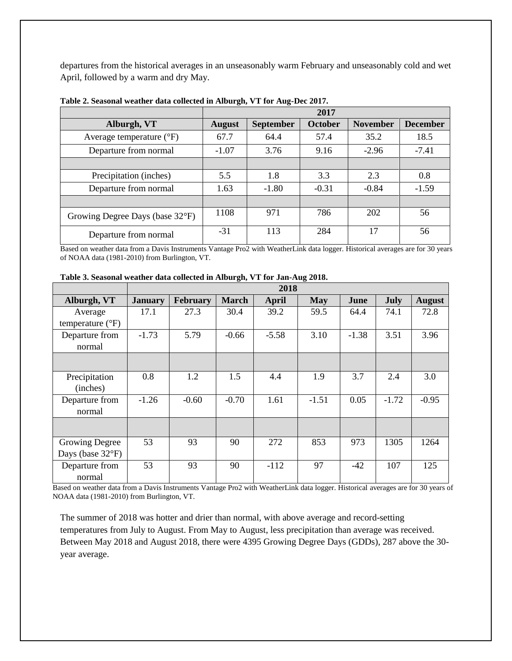departures from the historical averages in an unseasonably warm February and unseasonably cold and wet April, followed by a warm and dry May.

|                                   |               |                  | 2017    |                 |                 |
|-----------------------------------|---------------|------------------|---------|-----------------|-----------------|
| Alburgh, VT                       | <b>August</b> | <b>September</b> | October | <b>November</b> | <b>December</b> |
| Average temperature $(^{\circ}F)$ | 67.7          | 64.4             | 57.4    | 35.2            | 18.5            |
| Departure from normal             | $-1.07$       | 3.76             | 9.16    | $-2.96$         | $-7.41$         |
|                                   |               |                  |         |                 |                 |
| Precipitation (inches)            | 5.5           | 1.8              | 3.3     | 2.3             | 0.8             |
| Departure from normal             | 1.63          | $-1.80$          | $-0.31$ | $-0.84$         | $-1.59$         |
|                                   |               |                  |         |                 |                 |
| Growing Degree Days (base 32°F)   | 1108          | 971              | 786     | 202             | 56              |
| Departure from normal             | $-31$         | 113              | 284     | 17              | 56              |

**Table 2. Seasonal weather data collected in Alburgh, VT for Aug-Dec 2017.**

Based on weather data from a Davis Instruments Vantage Pro2 with WeatherLink data logger. Historical averages are for 30 years of NOAA data (1981-2010) from Burlington, VT.

|                                      | 2018           |          |              |         |            |         |         |               |
|--------------------------------------|----------------|----------|--------------|---------|------------|---------|---------|---------------|
| Alburgh, VT                          | <b>January</b> | February | <b>March</b> | April   | <b>May</b> | June    | July    | <b>August</b> |
| Average<br>temperature $(^{\circ}F)$ | 17.1           | 27.3     | 30.4         | 39.2    | 59.5       | 64.4    | 74.1    | 72.8          |
| Departure from<br>normal             | $-1.73$        | 5.79     | $-0.66$      | $-5.58$ | 3.10       | $-1.38$ | 3.51    | 3.96          |
|                                      |                |          |              |         |            |         |         |               |
| Precipitation<br>(inches)            | 0.8            | 1.2      | 1.5          | 4.4     | 1.9        | 3.7     | 2.4     | 3.0           |
| Departure from<br>normal             | $-1.26$        | $-0.60$  | $-0.70$      | 1.61    | $-1.51$    | 0.05    | $-1.72$ | $-0.95$       |
|                                      |                |          |              |         |            |         |         |               |
| <b>Growing Degree</b>                | 53             | 93       | 90           | 272     | 853        | 973     | 1305    | 1264          |
| Days (base 32°F)                     |                |          |              |         |            |         |         |               |
| Departure from<br>normal             | 53             | 93       | 90           | $-112$  | 97         | $-42$   | 107     | 125           |

**Table 3. Seasonal weather data collected in Alburgh, VT for Jan-Aug 2018.**

Based on weather data from a Davis Instruments Vantage Pro2 with WeatherLink data logger. Historical averages are for 30 years of NOAA data (1981-2010) from Burlington, VT.

The summer of 2018 was hotter and drier than normal, with above average and record-setting temperatures from July to August. From May to August, less precipitation than average was received. Between May 2018 and August 2018, there were 4395 Growing Degree Days (GDDs), 287 above the 30 year average.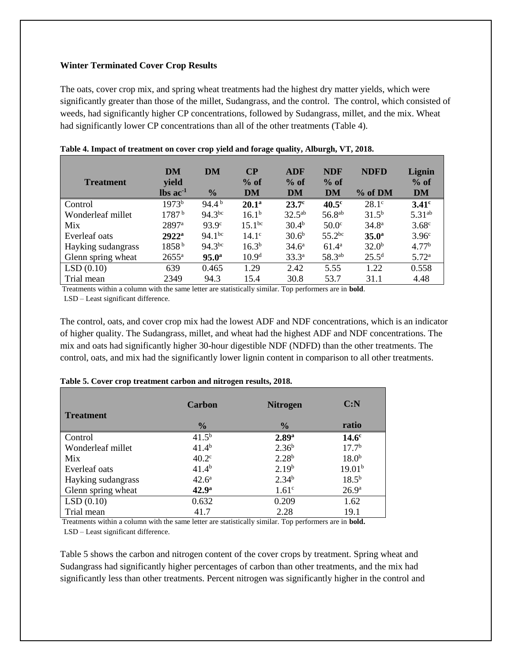#### **Winter Terminated Cover Crop Results**

The oats, cover crop mix, and spring wheat treatments had the highest dry matter yields, which were significantly greater than those of the millet, Sudangrass, and the control. The control, which consisted of weeds, had significantly higher CP concentrations, followed by Sudangrass, millet, and the mix. Wheat had significantly lower CP concentrations than all of the other treatments (Table 4).

| <b>Treatment</b>   | DM<br>yield                   | DM                | $\bf CP$<br>$%$ of | <b>ADF</b><br>$%$ of | <b>NDF</b><br>$%$ of | <b>NDFD</b>       | Lignin<br>$%$ of   |
|--------------------|-------------------------------|-------------------|--------------------|----------------------|----------------------|-------------------|--------------------|
|                    | $\text{lbs}$ ac <sup>-1</sup> | $\frac{1}{2}$     | DM                 | <b>DM</b>            | <b>DM</b>            | $%$ of DM         | DM                 |
| Control            | 1973 <sup>b</sup>             | $94.4^{b}$        | $20.1^{\rm a}$     | 23.7 <sup>c</sup>    | 40.5 <sup>c</sup>    | $28.1^\circ$      | 3.41 <sup>c</sup>  |
| Wonderleaf millet  | 1787 <sup>b</sup>             | $94.3^{bc}$       | $16.1^{b}$         | $32.5^{ab}$          | 56.8 <sup>ab</sup>   | $31.5^{b}$        | 5.31 <sup>ab</sup> |
| Mix                | 2897 <sup>a</sup>             | 93.9 <sup>c</sup> | $15.1^{bc}$        | 30.4 <sup>b</sup>    | 50.0 <sup>c</sup>    | 34.8 <sup>a</sup> | 3.68 <sup>c</sup>  |
| Everleaf oats      | $2922^a$                      | $94.1^{bc}$       | $14.1^\circ$       | $30.6^b$             | $55.2^{bc}$          | 35.0 <sup>a</sup> | 3.96 <sup>c</sup>  |
| Hayking sudangrass | 1858 <sup>b</sup>             | $94.3^{bc}$       | $16.3^{b}$         | $34.6^{\circ}$       | $61.4^{\circ}$       | $32.0^b$          | 4.77 <sup>b</sup>  |
| Glenn spring wheat | $2655^{\rm a}$                | 95.0 <sup>a</sup> | 10.9 <sup>d</sup>  | $33.3^{a}$           | 58.3 <sup>ab</sup>   | $25.5^d$          | 5.72 <sup>a</sup>  |
| LSD(0.10)          | 639                           | 0.465             | 1.29               | 2.42                 | 5.55                 | 1.22              | 0.558              |
| Trial mean         | 2349                          | 94.3              | 15.4               | 30.8                 | 53.7                 | 31.1              | 4.48               |

| Table 4. Impact of treatment on cover crop yield and forage quality, Alburgh, VT, 2018. |  |  |  |
|-----------------------------------------------------------------------------------------|--|--|--|
|-----------------------------------------------------------------------------------------|--|--|--|

Treatments within a column with the same letter are statistically similar. Top performers are in **bold**.

LSD – Least significant difference.

The control, oats, and cover crop mix had the lowest ADF and NDF concentrations, which is an indicator of higher quality. The Sudangrass, millet, and wheat had the highest ADF and NDF concentrations. The mix and oats had significantly higher 30-hour digestible NDF (NDFD) than the other treatments. The control, oats, and mix had the significantly lower lignin content in comparison to all other treatments.

|                    | <b>Carbon</b>     | <b>Nitrogen</b>   | C: N               |
|--------------------|-------------------|-------------------|--------------------|
| <b>Treatment</b>   | $\frac{0}{0}$     | $\frac{0}{0}$     | ratio              |
| Control            | $41.5^{b}$        | 2.89 <sup>a</sup> | 14.6 <sup>c</sup>  |
| Wonderleaf millet  | $41.4^{b}$        | $2.36^{b}$        | 17.7 <sup>b</sup>  |
| Mix                | 40.2 <sup>c</sup> | $2.28^{b}$        | 18.0 <sup>b</sup>  |
| Everleaf oats      | $41.4^{b}$        | 2.19 <sup>b</sup> | 19.01 <sup>b</sup> |
| Hayking sudangrass | $42.6^{\circ}$    | $2.34^{b}$        | $18.5^{b}$         |
| Glenn spring wheat | $42.9^{\rm a}$    | 1.61 <sup>c</sup> | 26.9 <sup>a</sup>  |
| LSD(0.10)          | 0.632             | 0.209             | 1.62               |
| Trial mean         | 41.7              | 2.28              | 19.1               |

#### **Table 5. Cover crop treatment carbon and nitrogen results, 2018.**

Treatments within a column with the same letter are statistically similar. Top performers are in **bold.** LSD – Least significant difference.

Table 5 shows the carbon and nitrogen content of the cover crops by treatment. Spring wheat and Sudangrass had significantly higher percentages of carbon than other treatments, and the mix had significantly less than other treatments. Percent nitrogen was significantly higher in the control and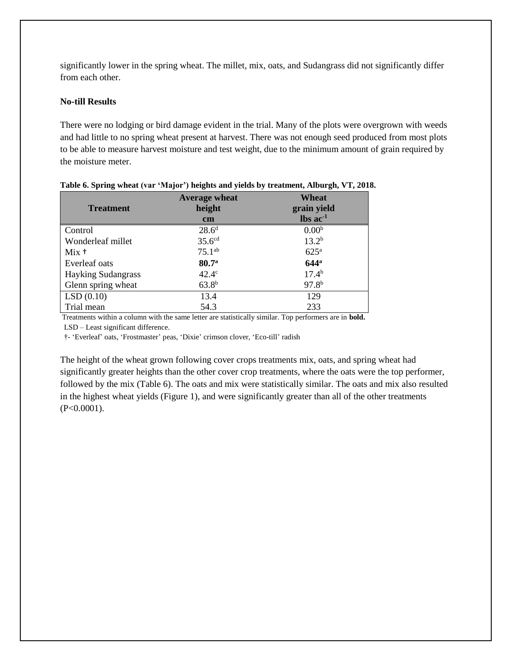significantly lower in the spring wheat. The millet, mix, oats, and Sudangrass did not significantly differ from each other.

### **No-till Results**

There were no lodging or bird damage evident in the trial. Many of the plots were overgrown with weeds and had little to no spring wheat present at harvest. There was not enough seed produced from most plots to be able to measure harvest moisture and test weight, due to the minimum amount of grain required by the moisture meter.

| <b>Treatment</b>          | <b>Average wheat</b><br>height<br>$\mathbf{cm}$ | Wheat<br>grain yield<br>$\text{lbs}$ ac <sup>-1</sup> |
|---------------------------|-------------------------------------------------|-------------------------------------------------------|
| Control                   | 28.6 <sup>d</sup>                               | 0.00 <sup>b</sup>                                     |
| Wonderleaf millet         | 35.6 <sup>cd</sup>                              | $13.2^{b}$                                            |
| $Mix +$                   | $75.1^{ab}$                                     | 625 <sup>a</sup>                                      |
| Everleaf oats             | 80.7 <sup>a</sup>                               | $644^{\mathrm{a}}$                                    |
| <b>Hayking Sudangrass</b> | $42.4^\circ$                                    | $17.4^{b}$                                            |
| Glenn spring wheat        | $63.8^{b}$                                      | $97.8^{b}$                                            |
| LSD(0.10)                 | 13.4                                            | 129                                                   |
| Trial mean                | 54.3                                            | 233                                                   |

| Table 6. Spring wheat (var 'Major') heights and yields by treatment, Alburgh, VT, 2018. |  |  |
|-----------------------------------------------------------------------------------------|--|--|

Treatments within a column with the same letter are statistically similar. Top performers are in **bold.**

LSD – Least significant difference.

†- 'Everleaf' oats, 'Frostmaster' peas, 'Dixie' crimson clover, 'Eco-till' radish

The height of the wheat grown following cover crops treatments mix, oats, and spring wheat had significantly greater heights than the other cover crop treatments, where the oats were the top performer, followed by the mix (Table 6). The oats and mix were statistically similar. The oats and mix also resulted in the highest wheat yields (Figure 1), and were significantly greater than all of the other treatments (P<0.0001).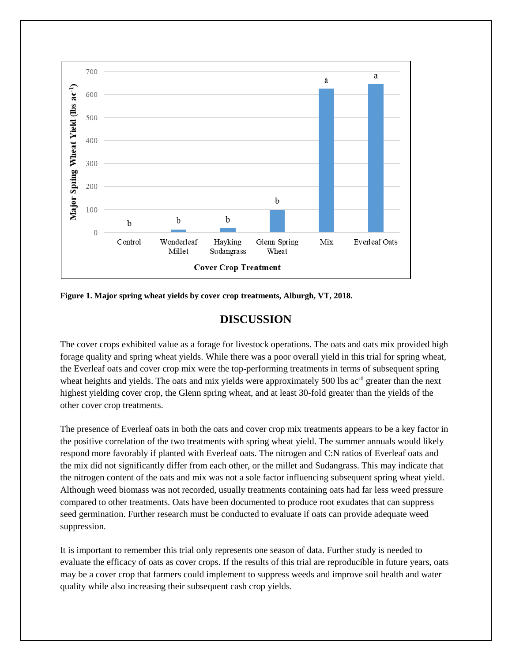

**Figure 1. Major spring wheat yields by cover crop treatments, Alburgh, VT, 2018.** 

# **DISCUSSION**

The cover crops exhibited value as a forage for livestock operations. The oats and oats mix provided high forage quality and spring wheat yields. While there was a poor overall yield in this trial for spring wheat, the Everleaf oats and cover crop mix were the top-performing treatments in terms of subsequent spring wheat heights and yields. The oats and mix yields were approximately 500 lbs ac<sup>-1</sup> greater than the next highest yielding cover crop, the Glenn spring wheat, and at least 30-fold greater than the yields of the other cover crop treatments.

The presence of Everleaf oats in both the oats and cover crop mix treatments appears to be a key factor in the positive correlation of the two treatments with spring wheat yield. The summer annuals would likely respond more favorably if planted with Everleaf oats. The nitrogen and C:N ratios of Everleaf oats and the mix did not significantly differ from each other, or the millet and Sudangrass. This may indicate that the nitrogen content of the oats and mix was not a sole factor influencing subsequent spring wheat yield. Although weed biomass was not recorded, usually treatments containing oats had far less weed pressure compared to other treatments. Oats have been documented to produce root exudates that can suppress seed germination. Further research must be conducted to evaluate if oats can provide adequate weed suppression.

It is important to remember this trial only represents one season of data. Further study is needed to evaluate the efficacy of oats as cover crops. If the results of this trial are reproducible in future years, oats may be a cover crop that farmers could implement to suppress weeds and improve soil health and water quality while also increasing their subsequent cash crop yields.